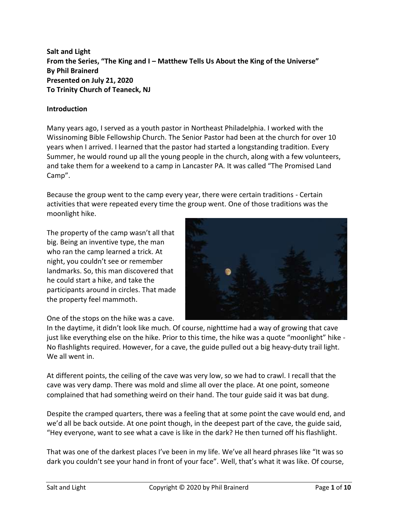**Salt and Light From the Series, "The King and I – Matthew Tells Us About the King of the Universe" By Phil Brainerd Presented on July 21, 2020 To Trinity Church of Teaneck, NJ**

### **Introduction**

Many years ago, I served as a youth pastor in Northeast Philadelphia. I worked with the Wissinoming Bible Fellowship Church. The Senior Pastor had been at the church for over 10 years when I arrived. I learned that the pastor had started a longstanding tradition. Every Summer, he would round up all the young people in the church, along with a few volunteers, and take them for a weekend to a camp in Lancaster PA. It was called "The Promised Land Camp".

Because the group went to the camp every year, there were certain traditions - Certain activities that were repeated every time the group went. One of those traditions was the moonlight hike.

The property of the camp wasn't all that big. Being an inventive type, the man who ran the camp learned a trick. At night, you couldn't see or remember landmarks. So, this man discovered that he could start a hike, and take the participants around in circles. That made the property feel mammoth.



One of the stops on the hike was a cave.

In the daytime, it didn't look like much. Of course, nighttime had a way of growing that cave just like everything else on the hike. Prior to this time, the hike was a quote "moonlight" hike - No flashlights required. However, for a cave, the guide pulled out a big heavy-duty trail light. We all went in.

At different points, the ceiling of the cave was very low, so we had to crawl. I recall that the cave was very damp. There was mold and slime all over the place. At one point, someone complained that had something weird on their hand. The tour guide said it was bat dung.

Despite the cramped quarters, there was a feeling that at some point the cave would end, and we'd all be back outside. At one point though, in the deepest part of the cave, the guide said, "Hey everyone, want to see what a cave is like in the dark? He then turned off his flashlight.

That was one of the darkest places I've been in my life. We've all heard phrases like "It was so dark you couldn't see your hand in front of your face". Well, that's what it was like. Of course,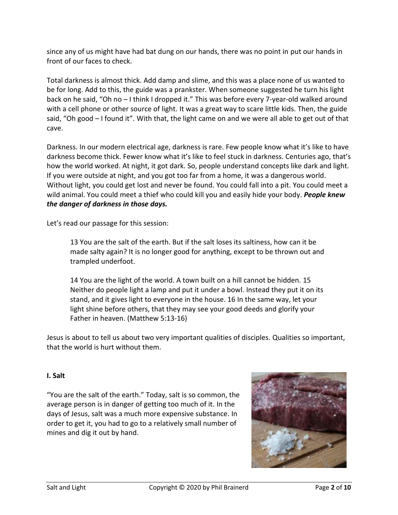since any of us might have had bat dung on our hands, there was no point in put our hands in front of our faces to check.

Total darkness is almost thick. Add damp and slime, and this was a place none of us wanted to be for long. Add to this, the guide was a prankster. When someone suggested he turn his light back on he said, "Oh no - I think I dropped it." This was before every 7-year-old walked around with a cell phone or other source of light. It was a great way to scare little kids. Then, the guide said, "Oh good – I found it". With that, the light came on and we were all able to get out of that cave.

Darkness. In our modern electrical age, darkness is rare. Few people know what it's like to have darkness become thick. Fewer know what it's like to feel stuck in darkness. Centuries ago, that's how the world worked. At night, it got dark. So, people understand concepts like dark and light. If you were outside at night, and you got too far from a home, it was a dangerous world. Without light, you could get lost and never be found. You could fall into a pit. You could meet a wild animal. You could meet a thief who could kill you and easily hide your body. *People knew the danger of darkness in those days.*

Let's read our passage for this session:

13 You are the salt of the earth. But if the salt loses its saltiness, how can it be made salty again? It is no longer good for anything, except to be thrown out and trampled underfoot.

14 You are the light of the world. A town built on a hill cannot be hidden. 15 Neither do people light a lamp and put it under a bowl. Instead they put it on its stand, and it gives light to everyone in the house. 16 In the same way, let your light shine before others, that they may see your good deeds and glorify your Father in heaven. (Matthew 5:13-16)

Jesus is about to tell us about two very important qualities of disciples. Qualities so important, that the world is hurt without them.

# **I. Salt**

"You are the salt of the earth." Today, salt is so common, the average person is in danger of getting too much of it. In the days of Jesus, salt was a much more expensive substance. In order to get it, you had to go to a relatively small number of mines and dig it out by hand.

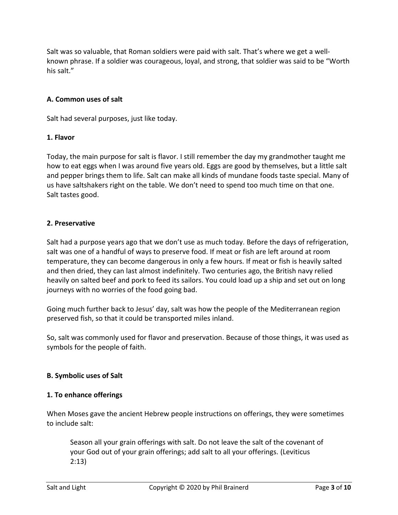Salt was so valuable, that Roman soldiers were paid with salt. That's where we get a wellknown phrase. If a soldier was courageous, loyal, and strong, that soldier was said to be "Worth his salt."

# **A. Common uses of salt**

Salt had several purposes, just like today.

### **1. Flavor**

Today, the main purpose for salt is flavor. I still remember the day my grandmother taught me how to eat eggs when I was around five years old. Eggs are good by themselves, but a little salt and pepper brings them to life. Salt can make all kinds of mundane foods taste special. Many of us have saltshakers right on the table. We don't need to spend too much time on that one. Salt tastes good.

## **2. Preservative**

Salt had a purpose years ago that we don't use as much today. Before the days of refrigeration, salt was one of a handful of ways to preserve food. If meat or fish are left around at room temperature, they can become dangerous in only a few hours. If meat or fish is heavily salted and then dried, they can last almost indefinitely. Two centuries ago, the British navy relied heavily on salted beef and pork to feed its sailors. You could load up a ship and set out on long journeys with no worries of the food going bad.

Going much further back to Jesus' day, salt was how the people of the Mediterranean region preserved fish, so that it could be transported miles inland.

So, salt was commonly used for flavor and preservation. Because of those things, it was used as symbols for the people of faith.

### **B. Symbolic uses of Salt**

# **1. To enhance offerings**

When Moses gave the ancient Hebrew people instructions on offerings, they were sometimes to include salt:

Season all your grain offerings with salt. Do not leave the salt of the covenant of your God out of your grain offerings; add salt to all your offerings. (Leviticus 2:13)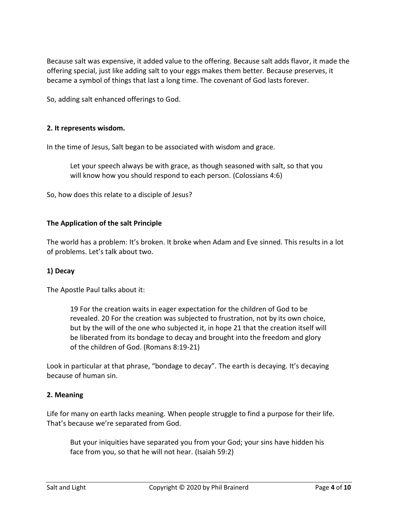Because salt was expensive, it added value to the offering. Because salt adds flavor, it made the offering special, just like adding salt to your eggs makes them better. Because preserves, it became a symbol of things that last a long time. The covenant of God lasts forever.

So, adding salt enhanced offerings to God.

### **2. It represents wisdom.**

In the time of Jesus, Salt began to be associated with wisdom and grace.

Let your speech always be with grace, as though seasoned with salt, so that you will know how you should respond to each person. (Colossians 4:6)

So, how does this relate to a disciple of Jesus?

#### **The Application of the salt Principle**

The world has a problem: It's broken. It broke when Adam and Eve sinned. This results in a lot of problems. Let's talk about two.

### **1) Decay**

The Apostle Paul talks about it:

19 For the creation waits in eager expectation for the children of God to be revealed. 20 For the creation was subjected to frustration, not by its own choice, but by the will of the one who subjected it, in hope 21 that the creation itself will be liberated from its bondage to decay and brought into the freedom and glory of the children of God. (Romans 8:19-21)

Look in particular at that phrase, "bondage to decay". The earth is decaying. It's decaying because of human sin.

#### **2. Meaning**

Life for many on earth lacks meaning. When people struggle to find a purpose for their life. That's because we're separated from God.

But your iniquities have separated you from your God; your sins have hidden his face from you, so that he will not hear. (Isaiah 59:2)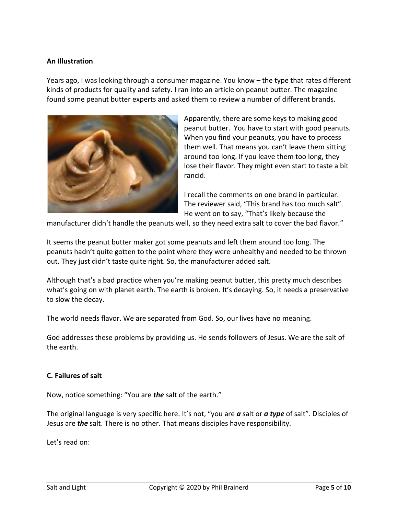#### **An Illustration**

Years ago, I was looking through a consumer magazine. You know – the type that rates different kinds of products for quality and safety. I ran into an article on peanut butter. The magazine found some peanut butter experts and asked them to review a number of different brands.



Apparently, there are some keys to making good peanut butter. You have to start with good peanuts. When you find your peanuts, you have to process them well. That means you can't leave them sitting around too long. If you leave them too long, they lose their flavor. They might even start to taste a bit rancid.

I recall the comments on one brand in particular. The reviewer said, "This brand has too much salt". He went on to say, "That's likely because the

manufacturer didn't handle the peanuts well, so they need extra salt to cover the bad flavor."

It seems the peanut butter maker got some peanuts and left them around too long. The peanuts hadn't quite gotten to the point where they were unhealthy and needed to be thrown out. They just didn't taste quite right. So, the manufacturer added salt.

Although that's a bad practice when you're making peanut butter, this pretty much describes what's going on with planet earth. The earth is broken. It's decaying. So, it needs a preservative to slow the decay.

The world needs flavor. We are separated from God. So, our lives have no meaning.

God addresses these problems by providing us. He sends followers of Jesus. We are the salt of the earth.

#### **C. Failures of salt**

Now, notice something: "You are *the* salt of the earth."

The original language is very specific here. It's not, "you are *a* salt or *a type* of salt". Disciples of Jesus are *the* salt. There is no other. That means disciples have responsibility.

Let's read on: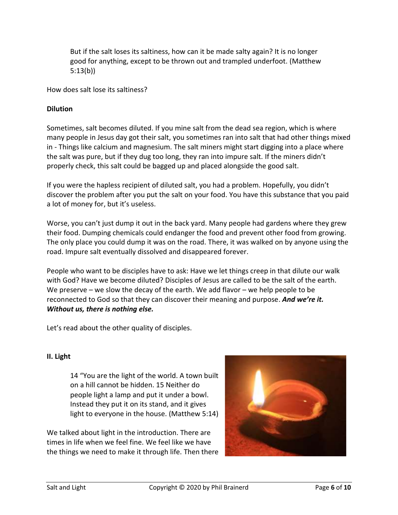But if the salt loses its saltiness, how can it be made salty again? It is no longer good for anything, except to be thrown out and trampled underfoot. (Matthew 5:13(b))

How does salt lose its saltiness?

### **Dilution**

Sometimes, salt becomes diluted. If you mine salt from the dead sea region, which is where many people in Jesus day got their salt, you sometimes ran into salt that had other things mixed in - Things like calcium and magnesium. The salt miners might start digging into a place where the salt was pure, but if they dug too long, they ran into impure salt. If the miners didn't properly check, this salt could be bagged up and placed alongside the good salt.

If you were the hapless recipient of diluted salt, you had a problem. Hopefully, you didn't discover the problem after you put the salt on your food. You have this substance that you paid a lot of money for, but it's useless.

Worse, you can't just dump it out in the back yard. Many people had gardens where they grew their food. Dumping chemicals could endanger the food and prevent other food from growing. The only place you could dump it was on the road. There, it was walked on by anyone using the road. Impure salt eventually dissolved and disappeared forever.

People who want to be disciples have to ask: Have we let things creep in that dilute our walk with God? Have we become diluted? Disciples of Jesus are called to be the salt of the earth. We preserve – we slow the decay of the earth. We add flavor – we help people to be reconnected to God so that they can discover their meaning and purpose. *And we're it. Without us, there is nothing else.*

Let's read about the other quality of disciples.

### **II. Light**

14 "You are the light of the world. A town built on a hill cannot be hidden. 15 Neither do people light a lamp and put it under a bowl. Instead they put it on its stand, and it gives light to everyone in the house. (Matthew 5:14)

We talked about light in the introduction. There are times in life when we feel fine. We feel like we have the things we need to make it through life. Then there

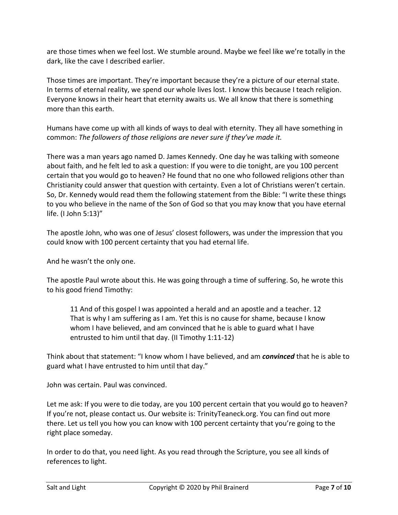are those times when we feel lost. We stumble around. Maybe we feel like we're totally in the dark, like the cave I described earlier.

Those times are important. They're important because they're a picture of our eternal state. In terms of eternal reality, we spend our whole lives lost. I know this because I teach religion. Everyone knows in their heart that eternity awaits us. We all know that there is something more than this earth.

Humans have come up with all kinds of ways to deal with eternity. They all have something in common: *The followers of those religions are never sure if they've made it.*

There was a man years ago named D. James Kennedy. One day he was talking with someone about faith, and he felt led to ask a question: If you were to die tonight, are you 100 percent certain that you would go to heaven? He found that no one who followed religions other than Christianity could answer that question with certainty. Even a lot of Christians weren't certain. So, Dr. Kennedy would read them the following statement from the Bible: "I write these things to you who believe in the name of the Son of God so that you may know that you have eternal life. (I John 5:13)"

The apostle John, who was one of Jesus' closest followers, was under the impression that you could know with 100 percent certainty that you had eternal life.

And he wasn't the only one.

The apostle Paul wrote about this. He was going through a time of suffering. So, he wrote this to his good friend Timothy:

11 And of this gospel I was appointed a herald and an apostle and a teacher. 12 That is why I am suffering as I am. Yet this is no cause for shame, because I know whom I have believed, and am convinced that he is able to guard what I have entrusted to him until that day. (II Timothy 1:11-12)

Think about that statement: "I know whom I have believed, and am *convinced* that he is able to guard what I have entrusted to him until that day."

John was certain. Paul was convinced.

Let me ask: If you were to die today, are you 100 percent certain that you would go to heaven? If you're not, please contact us. Our website is: TrinityTeaneck.org. You can find out more there. Let us tell you how you can know with 100 percent certainty that you're going to the right place someday.

In order to do that, you need light. As you read through the Scripture, you see all kinds of references to light.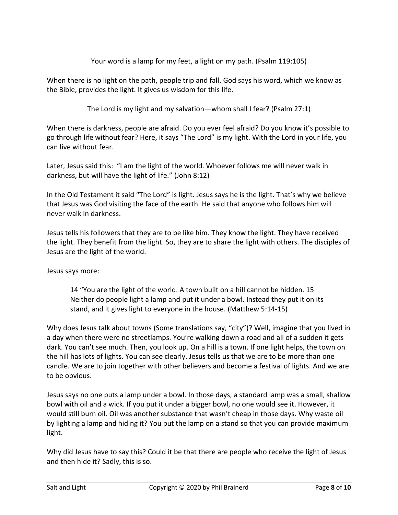Your word is a lamp for my feet, a light on my path. (Psalm 119:105)

When there is no light on the path, people trip and fall. God says his word, which we know as the Bible, provides the light. It gives us wisdom for this life.

The Lord is my light and my salvation—whom shall I fear? (Psalm 27:1)

When there is darkness, people are afraid. Do you ever feel afraid? Do you know it's possible to go through life without fear? Here, it says "The Lord" is my light. With the Lord in your life, you can live without fear.

Later, Jesus said this: "I am the light of the world. Whoever follows me will never walk in darkness, but will have the light of life." (John 8:12)

In the Old Testament it said "The Lord" is light. Jesus says he is the light. That's why we believe that Jesus was God visiting the face of the earth. He said that anyone who follows him will never walk in darkness.

Jesus tells his followers that they are to be like him. They know the light. They have received the light. They benefit from the light. So, they are to share the light with others. The disciples of Jesus are the light of the world.

Jesus says more:

14 "You are the light of the world. A town built on a hill cannot be hidden. 15 Neither do people light a lamp and put it under a bowl. Instead they put it on its stand, and it gives light to everyone in the house. (Matthew 5:14-15)

Why does Jesus talk about towns (Some translations say, "city")? Well, imagine that you lived in a day when there were no streetlamps. You're walking down a road and all of a sudden it gets dark. You can't see much. Then, you look up. On a hill is a town. If one light helps, the town on the hill has lots of lights. You can see clearly. Jesus tells us that we are to be more than one candle. We are to join together with other believers and become a festival of lights. And we are to be obvious.

Jesus says no one puts a lamp under a bowl. In those days, a standard lamp was a small, shallow bowl with oil and a wick. If you put it under a bigger bowl, no one would see it. However, it would still burn oil. Oil was another substance that wasn't cheap in those days. Why waste oil by lighting a lamp and hiding it? You put the lamp on a stand so that you can provide maximum light.

Why did Jesus have to say this? Could it be that there are people who receive the light of Jesus and then hide it? Sadly, this is so.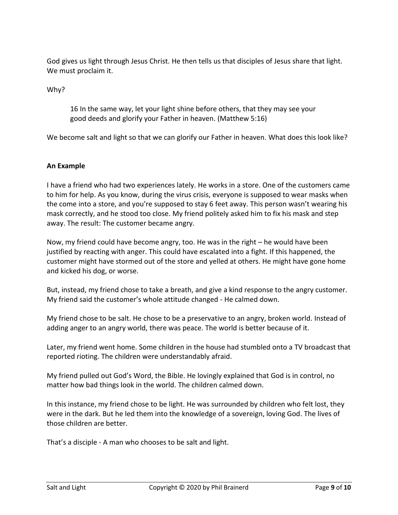God gives us light through Jesus Christ. He then tells us that disciples of Jesus share that light. We must proclaim it.

Why?

16 In the same way, let your light shine before others, that they may see your good deeds and glorify your Father in heaven. (Matthew 5:16)

We become salt and light so that we can glorify our Father in heaven. What does this look like?

### **An Example**

I have a friend who had two experiences lately. He works in a store. One of the customers came to him for help. As you know, during the virus crisis, everyone is supposed to wear masks when the come into a store, and you're supposed to stay 6 feet away. This person wasn't wearing his mask correctly, and he stood too close. My friend politely asked him to fix his mask and step away. The result: The customer became angry.

Now, my friend could have become angry, too. He was in the right – he would have been justified by reacting with anger. This could have escalated into a fight. If this happened, the customer might have stormed out of the store and yelled at others. He might have gone home and kicked his dog, or worse.

But, instead, my friend chose to take a breath, and give a kind response to the angry customer. My friend said the customer's whole attitude changed - He calmed down.

My friend chose to be salt. He chose to be a preservative to an angry, broken world. Instead of adding anger to an angry world, there was peace. The world is better because of it.

Later, my friend went home. Some children in the house had stumbled onto a TV broadcast that reported rioting. The children were understandably afraid.

My friend pulled out God's Word, the Bible. He lovingly explained that God is in control, no matter how bad things look in the world. The children calmed down.

In this instance, my friend chose to be light. He was surrounded by children who felt lost, they were in the dark. But he led them into the knowledge of a sovereign, loving God. The lives of those children are better.

That's a disciple - A man who chooses to be salt and light.